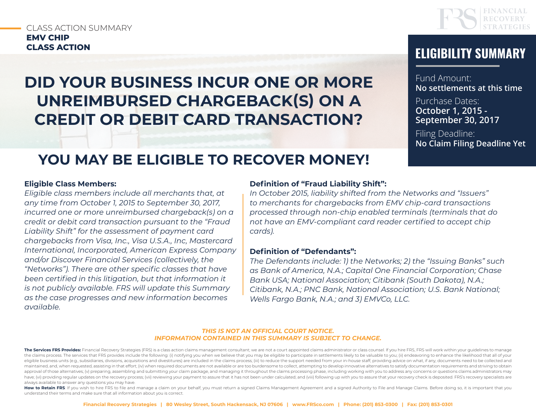### CLASS ACTION SUMMARY **EMV CHIP**

# **DID YOUR BUSINESS INCUR ONE OR MORE UNREIMBURSED CHARGEBACK(S) ON A CREDIT OR DEBIT CARD TRANSACTION?**



# **CLASS ACTION ELIGIBILITY SUMMARY**

Fund Amount: **No settlements at this time**

Purchase Dates: **October 1, 2015 - September 30, 2017**

Filing Deadline: **No Claim Filing Deadline Yet**

### **YOU MAY BE ELIGIBLE TO RECOVER MONEY!**

#### **Eligible Class Members:**

*Eligible class members include all merchants that, at any time from October 1, 2015 to September 30, 2017, incurred one or more unreimbursed chargeback(s) on a credit or debit card transaction pursuant to the "Fraud Liability Shift" for the assessment of payment card chargebacks from Visa, Inc., Visa U.S.A., Inc, Mastercard International, Incorporated, American Express Company and/or Discover Financial Services (collectively, the "Networks"). There are other specific classes that have been certified in this litigation, but that information it is not publicly available. FRS will update this Summary as the case progresses and new information becomes available.*

#### **Definition of "Fraud Liability Shift":**

*In October 2015, liability shifted from the Networks and "Issuers" to merchants for chargebacks from EMV chip-card transactions processed through non-chip enabled terminals (terminals that do not have an EMV-compliant card reader certified to accept chip cards).* 

#### **Definition of "Defendants":**

*The Defendants include: 1) the Networks; 2) the "Issuing Banks" such as Bank of America, N.A.; Capital One Financial Corporation; Chase Bank USA; National Association; Citibank (South Dakota), N.A.; Citibank, N.A.; PNC Bank, National Association; U.S. Bank National; Wells Fargo Bank, N.A.; and 3) EMVCo, LLC.*

#### *THIS IS NOT AN OFFICIAL COURT NOTICE. INFORMATION CONTAINED IN THIS SUMMARY IS SUBJECT TO CHANGE.*

How to Retain FRS: If you wish to hire FRS to file and manage a claim on your behalf, you must return a signed Claims Management Agreement and a signed Authority to File and Manage Claims. Before doing so, it is important understand their terms and make sure that all information about you is correct.

The Services FRS Provides: Financial Recovery Strategies (FRS) is a class action claims management consultant; we are not a court appointed claims administrator or class counsel. If you hire FRS, FRS will work within your the claims process. The services that FRS provides include the following: (i) notifying you when we believe that you may be eligible to participate in settlements likely to be valuable to you; (ii) endeavoring to enhance t eligible business units (e.g., subsidiaries, divisions, acquisitions and divestitures) are included in the claims process; (iii) to reduce the support needed from your in-house staff, providing advice on what, if any, docu maintained, and, when requested, assisting in that effort; (iv) when required documents are not available or are too burdensome to collect, attempting to develop innovative alternatives to satisfy documentation requirement approval of those alternatives; (v) preparing, assembling and submitting your claim package, and managing it throughout the claims processing phase, including working with you to address any concerns or questions claims ad have; (vi) providing regular updates on the recovery process; (vii) reviewing your payment to assure that it has not been under calculated; and (viii) following up with you to assure that your recovery check is deposited. always available to answer any questions you may have.